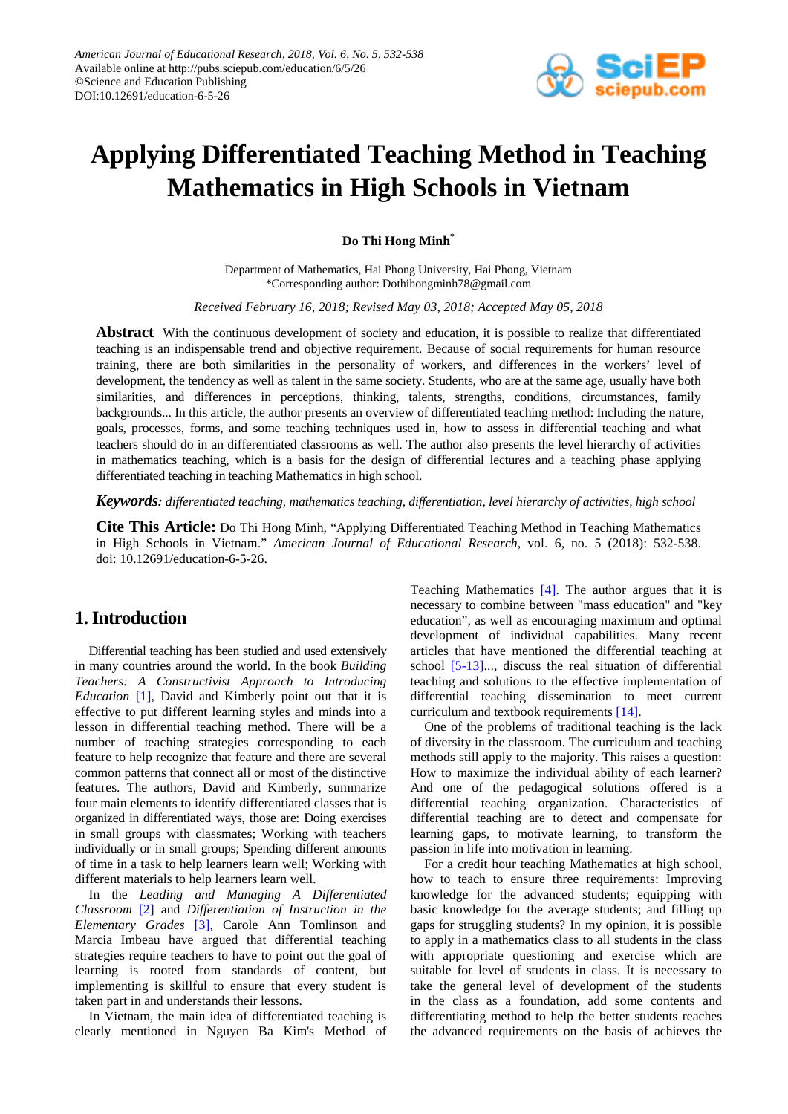

# **Applying Differentiated Teaching Method in Teaching Mathematics in High Schools in Vietnam**

**Do Thi Hong Minh\***

Department of Mathematics, Hai Phong University, Hai Phong, Vietnam \*Corresponding author: Dothihongminh78@gmail.com

*Received February 16, 2018; Revised May 03, 2018; Accepted May 05, 2018*

**Abstract** With the continuous development of society and education, it is possible to realize that differentiated teaching is an indispensable trend and objective requirement. Because of social requirements for human resource training, there are both similarities in the personality of workers, and differences in the workers' level of development, the tendency as well as talent in the same society. Students, who are at the same age, usually have both similarities, and differences in perceptions, thinking, talents, strengths, conditions, circumstances, family backgrounds... In this article, the author presents an overview of differentiated teaching method: Including the nature, goals, processes, forms, and some teaching techniques used in, how to assess in differential teaching and what teachers should do in an differentiated classrooms as well. The author also presents the level hierarchy of activities in mathematics teaching, which is a basis for the design of differential lectures and a teaching phase applying differentiated teaching in teaching Mathematics in high school.

*Keywords: differentiated teaching, mathematics teaching, differentiation, level hierarchy of activities, high school*

**Cite This Article:** Do Thi Hong Minh, "Applying Differentiated Teaching Method in Teaching Mathematics in High Schools in Vietnam." *American Journal of Educational Research*, vol. 6, no. 5 (2018): 532-538. doi: 10.12691/education-6-5-26.

# **1. Introduction**

Differential teaching has been studied and used extensively in many countries around the world. In the book *Building Teachers: A Constructivist Approach to Introducing Education* [\[1\],](#page-6-0) David and Kimberly point out that it is effective to put different learning styles and minds into a lesson in differential teaching method. There will be a number of teaching strategies corresponding to each feature to help recognize that feature and there are several common patterns that connect all or most of the distinctive features. The authors, David and Kimberly, summarize four main elements to identify differentiated classes that is organized in differentiated ways, those are: Doing exercises in small groups with classmates; Working with teachers individually or in small groups; Spending different amounts of time in a task to help learners learn well; Working with different materials to help learners learn well.

In the *Leading and Managing A Differentiated Classroom* [\[2\]](#page-6-1) and *Differentiation of Instruction in the Elementary Grades* [\[3\],](#page-6-2) Carole Ann Tomlinson and Marcia Imbeau have argued that differential teaching strategies require teachers to have to point out the goal of learning is rooted from standards of content, but implementing is skillful to ensure that every student is taken part in and understands their lessons.

In Vietnam, the main idea of differentiated teaching is clearly mentioned in Nguyen Ba Kim's Method of Teaching Mathematics [\[4\].](#page-6-3) The author argues that it is necessary to combine between "mass education" and "key education", as well as encouraging maximum and optimal development of individual capabilities. Many recent articles that have mentioned the differential teaching at school [\[5-13\].](#page-6-4).., discuss the real situation of differential teaching and solutions to the effective implementation of differential teaching dissemination to meet current curriculum and textbook requirement[s \[14\].](#page-6-5)

One of the problems of traditional teaching is the lack of diversity in the classroom. The curriculum and teaching methods still apply to the majority. This raises a question: How to maximize the individual ability of each learner? And one of the pedagogical solutions offered is a differential teaching organization. Characteristics of differential teaching are to detect and compensate for learning gaps, to motivate learning, to transform the passion in life into motivation in learning.

For a credit hour teaching Mathematics at high school, how to teach to ensure three requirements: Improving knowledge for the advanced students; equipping with basic knowledge for the average students; and filling up gaps for struggling students? In my opinion, it is possible to apply in a mathematics class to all students in the class with appropriate questioning and exercise which are suitable for level of students in class. It is necessary to take the general level of development of the students in the class as a foundation, add some contents and differentiating method to help the better students reaches the advanced requirements on the basis of achieves the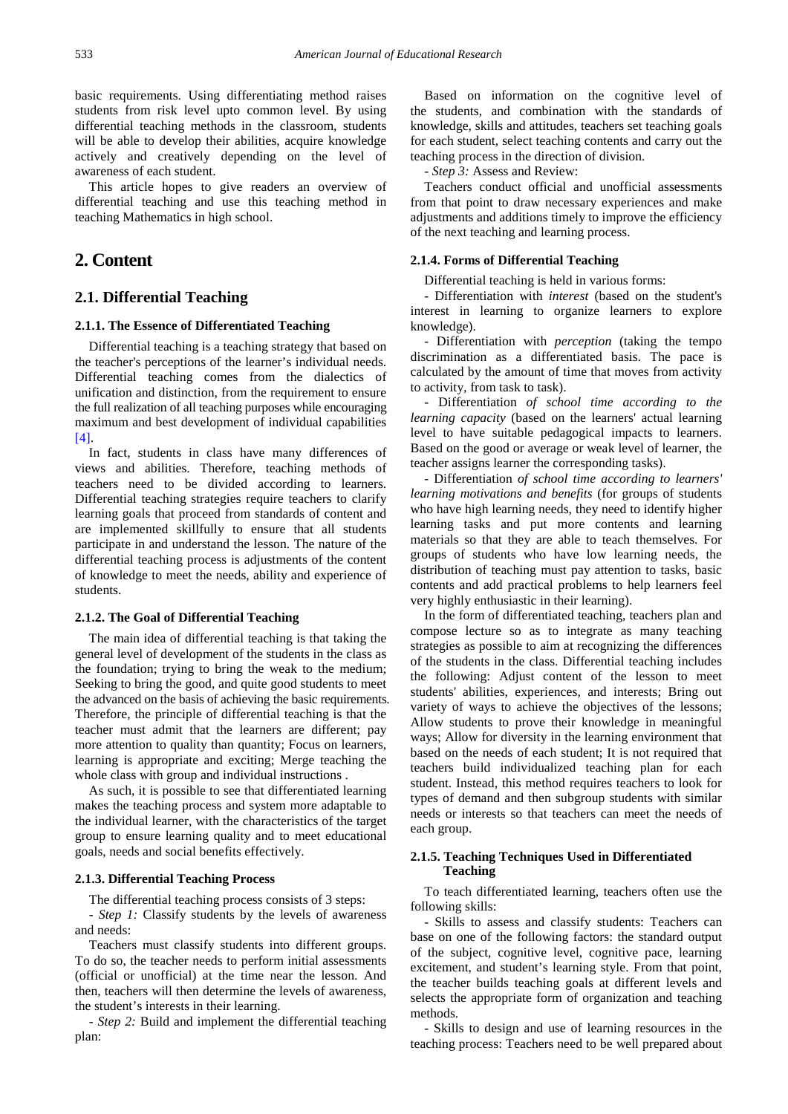basic requirements. Using differentiating method raises students from risk level upto common level. By using differential teaching methods in the classroom, students will be able to develop their abilities, acquire knowledge actively and creatively depending on the level of awareness of each student.

This article hopes to give readers an overview of differential teaching and use this teaching method in teaching Mathematics in high school.

# **2. Content**

## **2.1. Differential Teaching**

#### **2.1.1. The Essence of Differentiated Teaching**

Differential teaching is a teaching strategy that based on the teacher's perceptions of the learner's individual needs. Differential teaching comes from the dialectics of unification and distinction, from the requirement to ensure the full realization of all teaching purposes while encouraging maximum and best development of individual capabilities  $[4]$ .

In fact, students in class have many differences of views and abilities. Therefore, teaching methods of teachers need to be divided according to learners. Differential teaching strategies require teachers to clarify learning goals that proceed from standards of content and are implemented skillfully to ensure that all students participate in and understand the lesson. The nature of the differential teaching process is adjustments of the content of knowledge to meet the needs, ability and experience of students.

#### **2.1.2. The Goal of Differential Teaching**

The main idea of differential teaching is that taking the general level of development of the students in the class as the foundation; trying to bring the weak to the medium; Seeking to bring the good, and quite good students to meet the advanced on the basis of achieving the basic requirements. Therefore, the principle of differential teaching is that the teacher must admit that the learners are different; pay more attention to quality than quantity; Focus on learners, learning is appropriate and exciting; Merge teaching the whole class with group and individual instructions .

As such, it is possible to see that differentiated learning makes the teaching process and system more adaptable to the individual learner, with the characteristics of the target group to ensure learning quality and to meet educational goals, needs and social benefits effectively.

#### **2.1.3. Differential Teaching Process**

The differential teaching process consists of 3 steps:

*- Step 1:* Classify students by the levels of awareness and needs:

Teachers must classify students into different groups. To do so, the teacher needs to perform initial assessments (official or unofficial) at the time near the lesson. And then, teachers will then determine the levels of awareness, the student's interests in their learning.

*- Step 2:* Build and implement the differential teaching plan:

Based on information on the cognitive level of the students, and combination with the standards of knowledge, skills and attitudes, teachers set teaching goals for each student, select teaching contents and carry out the teaching process in the direction of division.

*- Step 3:* Assess and Review:

Teachers conduct official and unofficial assessments from that point to draw necessary experiences and make adjustments and additions timely to improve the efficiency of the next teaching and learning process.

#### **2.1.4. Forms of Differential Teaching**

Differential teaching is held in various forms:

- Differentiation with *interest* (based on the student's interest in learning to organize learners to explore knowledge).

- Differentiation with *perception* (taking the tempo discrimination as a differentiated basis. The pace is calculated by the amount of time that moves from activity to activity, from task to task).

- Differentiation *of school time according to the learning capacity* (based on the learners' actual learning level to have suitable pedagogical impacts to learners. Based on the good or average or weak level of learner, the teacher assigns learner the corresponding tasks).

- Differentiation *of school time according to learners' learning motivations and benefits* (for groups of students who have high learning needs, they need to identify higher learning tasks and put more contents and learning materials so that they are able to teach themselves. For groups of students who have low learning needs, the distribution of teaching must pay attention to tasks, basic contents and add practical problems to help learners feel very highly enthusiastic in their learning).

In the form of differentiated teaching, teachers plan and compose lecture so as to integrate as many teaching strategies as possible to aim at recognizing the differences of the students in the class. Differential teaching includes the following: Adjust content of the lesson to meet students' abilities, experiences, and interests; Bring out variety of ways to achieve the objectives of the lessons; Allow students to prove their knowledge in meaningful ways; Allow for diversity in the learning environment that based on the needs of each student; It is not required that teachers build individualized teaching plan for each student. Instead, this method requires teachers to look for types of demand and then subgroup students with similar needs or interests so that teachers can meet the needs of each group.

#### **2.1.5. Teaching Techniques Used in Differentiated Teaching**

To teach differentiated learning, teachers often use the following skills:

- Skills to assess and classify students: Teachers can base on one of the following factors: the standard output of the subject, cognitive level, cognitive pace, learning excitement, and student's learning style. From that point, the teacher builds teaching goals at different levels and selects the appropriate form of organization and teaching methods.

- Skills to design and use of learning resources in the teaching process: Teachers need to be well prepared about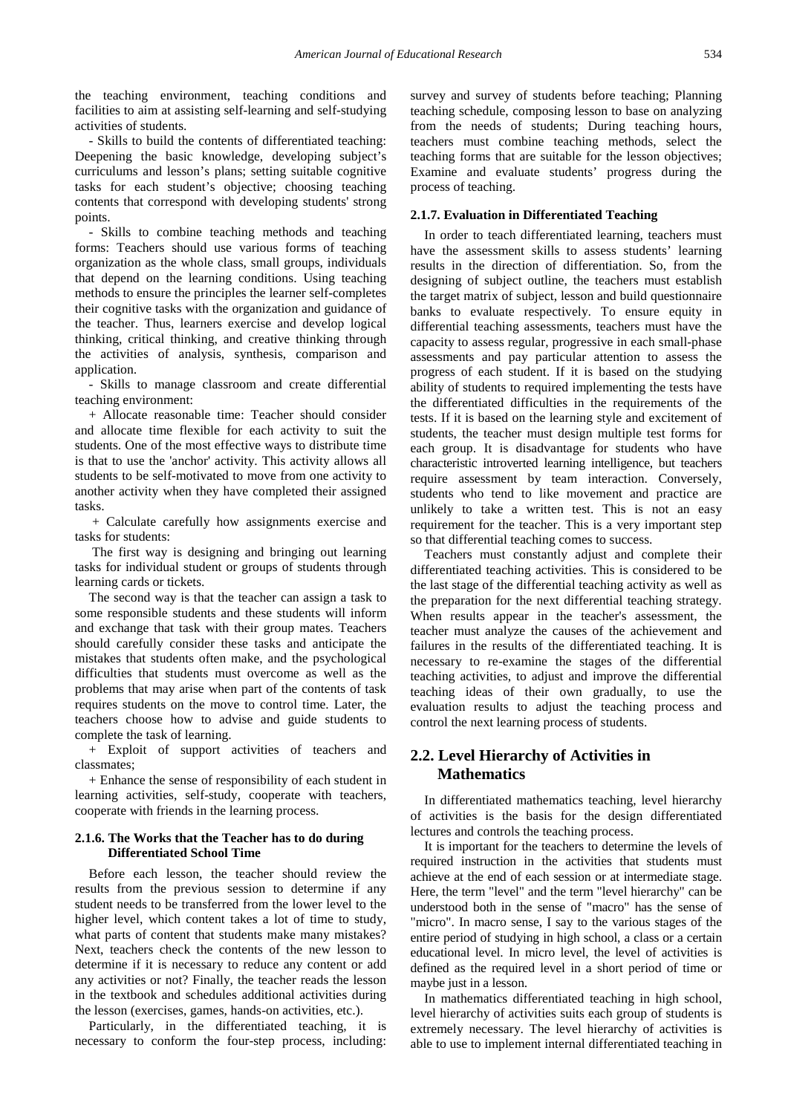the teaching environment, teaching conditions and facilities to aim at assisting self-learning and self-studying activities of students.

- Skills to build the contents of differentiated teaching: Deepening the basic knowledge, developing subject's curriculums and lesson's plans; setting suitable cognitive tasks for each student's objective; choosing teaching contents that correspond with developing students' strong points.

- Skills to combine teaching methods and teaching forms: Teachers should use various forms of teaching organization as the whole class, small groups, individuals that depend on the learning conditions. Using teaching methods to ensure the principles the learner self-completes their cognitive tasks with the organization and guidance of the teacher. Thus, learners exercise and develop logical thinking, critical thinking, and creative thinking through the activities of analysis, synthesis, comparison and application.

- Skills to manage classroom and create differential teaching environment:

+ Allocate reasonable time: Teacher should consider and allocate time flexible for each activity to suit the students. One of the most effective ways to distribute time is that to use the 'anchor' activity. This activity allows all students to be self-motivated to move from one activity to another activity when they have completed their assigned tasks.

+ Calculate carefully how assignments exercise and tasks for students:

The first way is designing and bringing out learning tasks for individual student or groups of students through learning cards or tickets.

The second way is that the teacher can assign a task to some responsible students and these students will inform and exchange that task with their group mates. Teachers should carefully consider these tasks and anticipate the mistakes that students often make, and the psychological difficulties that students must overcome as well as the problems that may arise when part of the contents of task requires students on the move to control time. Later, the teachers choose how to advise and guide students to complete the task of learning.

+ Exploit of support activities of teachers and classmates;

+ Enhance the sense of responsibility of each student in learning activities, self-study, cooperate with teachers, cooperate with friends in the learning process.

#### **2.1.6. The Works that the Teacher has to do during Differentiated School Time**

Before each lesson, the teacher should review the results from the previous session to determine if any student needs to be transferred from the lower level to the higher level, which content takes a lot of time to study, what parts of content that students make many mistakes? Next, teachers check the contents of the new lesson to determine if it is necessary to reduce any content or add any activities or not? Finally, the teacher reads the lesson in the textbook and schedules additional activities during the lesson (exercises, games, hands-on activities, etc.).

Particularly, in the differentiated teaching, it is necessary to conform the four-step process, including: survey and survey of students before teaching; Planning teaching schedule, composing lesson to base on analyzing from the needs of students; During teaching hours, teachers must combine teaching methods, select the teaching forms that are suitable for the lesson objectives; Examine and evaluate students' progress during the process of teaching.

#### **2.1.7. Evaluation in Differentiated Teaching**

In order to teach differentiated learning, teachers must have the assessment skills to assess students' learning results in the direction of differentiation. So, from the designing of subject outline, the teachers must establish the target matrix of subject, lesson and build questionnaire banks to evaluate respectively. To ensure equity in differential teaching assessments, teachers must have the capacity to assess regular, progressive in each small-phase assessments and pay particular attention to assess the progress of each student. If it is based on the studying ability of students to required implementing the tests have the differentiated difficulties in the requirements of the tests. If it is based on the learning style and excitement of students, the teacher must design multiple test forms for each group. It is disadvantage for students who have characteristic introverted learning intelligence, but teachers require assessment by team interaction. Conversely, students who tend to like movement and practice are unlikely to take a written test. This is not an easy requirement for the teacher. This is a very important step so that differential teaching comes to success.

Teachers must constantly adjust and complete their differentiated teaching activities. This is considered to be the last stage of the differential teaching activity as well as the preparation for the next differential teaching strategy. When results appear in the teacher's assessment, the teacher must analyze the causes of the achievement and failures in the results of the differentiated teaching. It is necessary to re-examine the stages of the differential teaching activities, to adjust and improve the differential teaching ideas of their own gradually, to use the evaluation results to adjust the teaching process and control the next learning process of students.

## **2.2. Level Hierarchy of Activities in Mathematics**

In differentiated mathematics teaching, level hierarchy of activities is the basis for the design differentiated lectures and controls the teaching process.

It is important for the teachers to determine the levels of required instruction in the activities that students must achieve at the end of each session or at intermediate stage. Here, the term "level" and the term "level hierarchy" can be understood both in the sense of "macro" has the sense of "micro". In macro sense, I say to the various stages of the entire period of studying in high school, a class or a certain educational level. In micro level, the level of activities is defined as the required level in a short period of time or maybe just in a lesson.

In mathematics differentiated teaching in high school, level hierarchy of activities suits each group of students is extremely necessary. The level hierarchy of activities is able to use to implement internal differentiated teaching in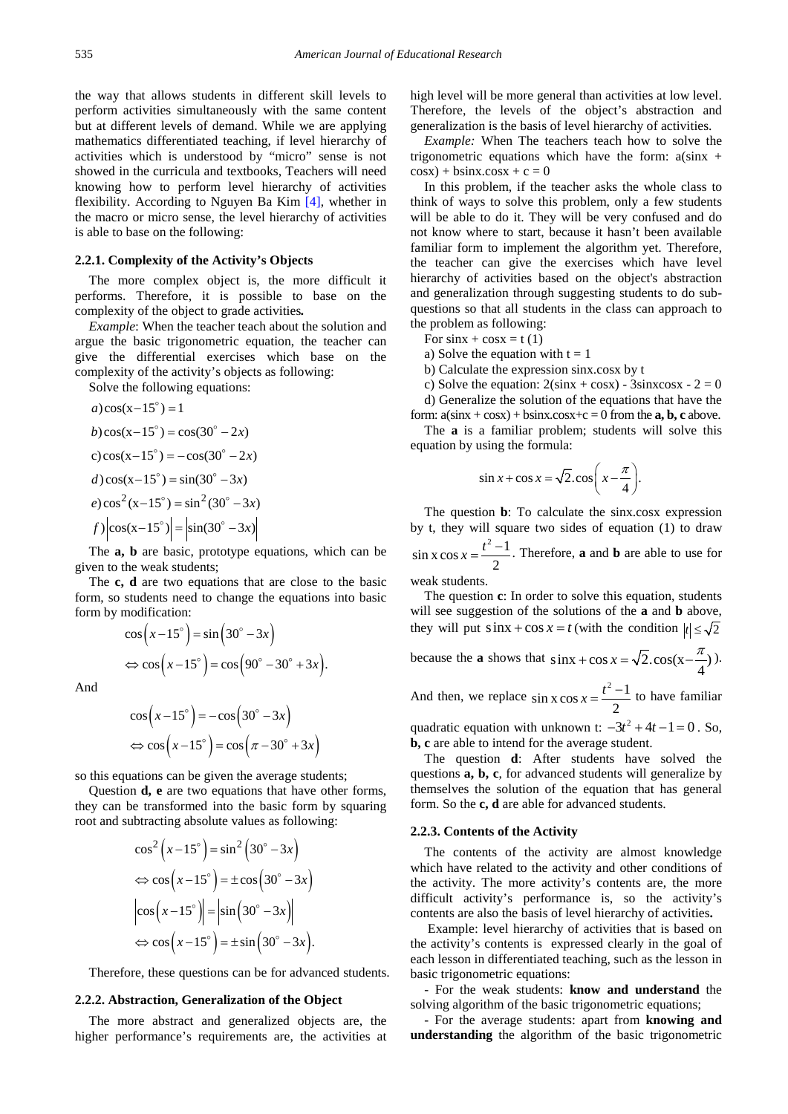the way that allows students in different skill levels to perform activities simultaneously with the same content but at different levels of demand. While we are applying mathematics differentiated teaching, if level hierarchy of activities which is understood by "micro" sense is not showed in the curricula and textbooks, Teachers will need knowing how to perform level hierarchy of activities flexibility. According to Nguyen Ba Kim [\[4\],](#page-6-3) whether in the macro or micro sense, the level hierarchy of activities is able to base on the following:

#### **2.2.1. Complexity of the Activity's Objects**

The more complex object is, the more difficult it performs. Therefore, it is possible to base on the complexity of the object to grade activities*.*

*Example*: When the teacher teach about the solution and argue the basic trigonometric equation, the teacher can give the differential exercises which base on the complexity of the activity's objects as following:

Solve the following equations:

a) 
$$
\cos(x-15^\circ) = 1
$$
  
\nb)  $\cos(x-15^\circ) = \cos(30^\circ - 2x)$   
\nc)  $\cos(x-15^\circ) = -\cos(30^\circ - 2x)$   
\nd)  $\cos(x-15^\circ) = \sin(30^\circ - 3x)$   
\ne)  $\cos^2(x-15^\circ) = \sin^2(30^\circ - 3x)$   
\nf)  $|\cos(x-15^\circ)| = |\sin(30^\circ - 3x)|$ 

The **a, b** are basic, prototype equations, which can be given to the weak students;

The **c, d** are two equations that are close to the basic form, so students need to change the equations into basic form by modification:

$$
\cos\left(x-15^\circ\right) = \sin\left(30^\circ - 3x\right)
$$

$$
\Leftrightarrow \cos\left(x-15^\circ\right) = \cos\left(90^\circ - 30^\circ + 3x\right).
$$

And

$$
\cos\left(x-15^\circ\right) = -\cos\left(30^\circ - 3x\right)
$$
  

$$
\Leftrightarrow \cos\left(x-15^\circ\right) = \cos\left(\pi - 30^\circ + 3x\right)
$$

so this equations can be given the average students;

Question **d, e** are two equations that have other forms, they can be transformed into the basic form by squaring root and subtracting absolute values as following:

$$
\cos^2\left(x-15^\circ\right) = \sin^2\left(30^\circ - 3x\right)
$$
  
\n
$$
\Leftrightarrow \cos\left(x-15^\circ\right) = \pm \cos\left(30^\circ - 3x\right)
$$
  
\n
$$
\left|\cos\left(x-15^\circ\right)\right| = \left|\sin\left(30^\circ - 3x\right)\right|
$$
  
\n
$$
\Leftrightarrow \cos\left(x-15^\circ\right) = \pm \sin\left(30^\circ - 3x\right).
$$

Therefore, these questions can be for advanced students.

#### **2.2.2. Abstraction, Generalization of the Object**

The more abstract and generalized objects are, the higher performance's requirements are, the activities at high level will be more general than activities at low level. Therefore, the levels of the object's abstraction and generalization is the basis of level hierarchy of activities.

*Example:* When The teachers teach how to solve the trigonometric equations which have the form:  $a(sinx +$  $\cos x$ ) + bsinx.cosx + c = 0

In this problem, if the teacher asks the whole class to think of ways to solve this problem, only a few students will be able to do it. They will be very confused and do not know where to start, because it hasn't been available familiar form to implement the algorithm yet. Therefore, the teacher can give the exercises which have level hierarchy of activities based on the object's abstraction and generalization through suggesting students to do subquestions so that all students in the class can approach to the problem as following:

- For  $sinx + cosx = t(1)$
- a) Solve the equation with  $t = 1$
- b) Calculate the expression sinx.cosx by t
- c) Solve the equation:  $2(sinx + cosx) 3sinxcosx 2 = 0$ d) Generalize the solution of the equations that have the

form:  $a(sin x + cos x) + bsin x \cdot cos x + c = 0$  from the **a**, **b**, **c** above. The **a** is a familiar problem; students will solve this

equation by using the formula:

$$
\sin x + \cos x = \sqrt{2} \cdot \cos \left( x - \frac{\pi}{4} \right).
$$

The question **b**: To calculate the sinx.cosx expression by t, they will square two sides of equation (1) to draw by t, they will square two sides of equation (1) to draw  $\sin x \cos x = \frac{t^2 - 1}{2}$ . Therefore, **a** and **b** are able to use for 2  $x = \frac{t^2 - 1}{t^2}$ . Therefore, **a** and **b** are able to use for

weak students.

The question **c**: In order to solve this equation, students will see suggestion of the solutions of the **a** and **b** above, they will put  $\sin x + \cos x = t$  (with the condition  $|t| \le \sqrt{2}$ 

because the **a** shows that  $\sin x + \cos x = \sqrt{2} \cdot \cos(x - \frac{\pi}{4})$ .

And then, we replace  $\sin x \cos x = \frac{t^2 - 1}{2}$ 2  $x = \frac{t^2 - 1}{2}$  to have familiar

quadratic equation with unknown t:  $-3t^2 + 4t - 1 = 0$ . So, **b, c** are able to intend for the average student.

The question **d**: After students have solved the questions **a, b, c**, for advanced students will generalize by themselves the solution of the equation that has general form. So the **c, d** are able for advanced students.

#### **2.2.3. Contents of the Activity**

The contents of the activity are almost knowledge which have related to the activity and other conditions of the activity. The more activity's contents are, the more difficult activity's performance is, so the activity's contents are also the basis of level hierarchy of activities**.**

Example: level hierarchy of activities that is based on the activity's contents is expressed clearly in the goal of each lesson in differentiated teaching, such as the lesson in basic trigonometric equations:

- For the weak students: **know and understand** the solving algorithm of the basic trigonometric equations;

- For the average students: apart from **knowing and understanding** the algorithm of the basic trigonometric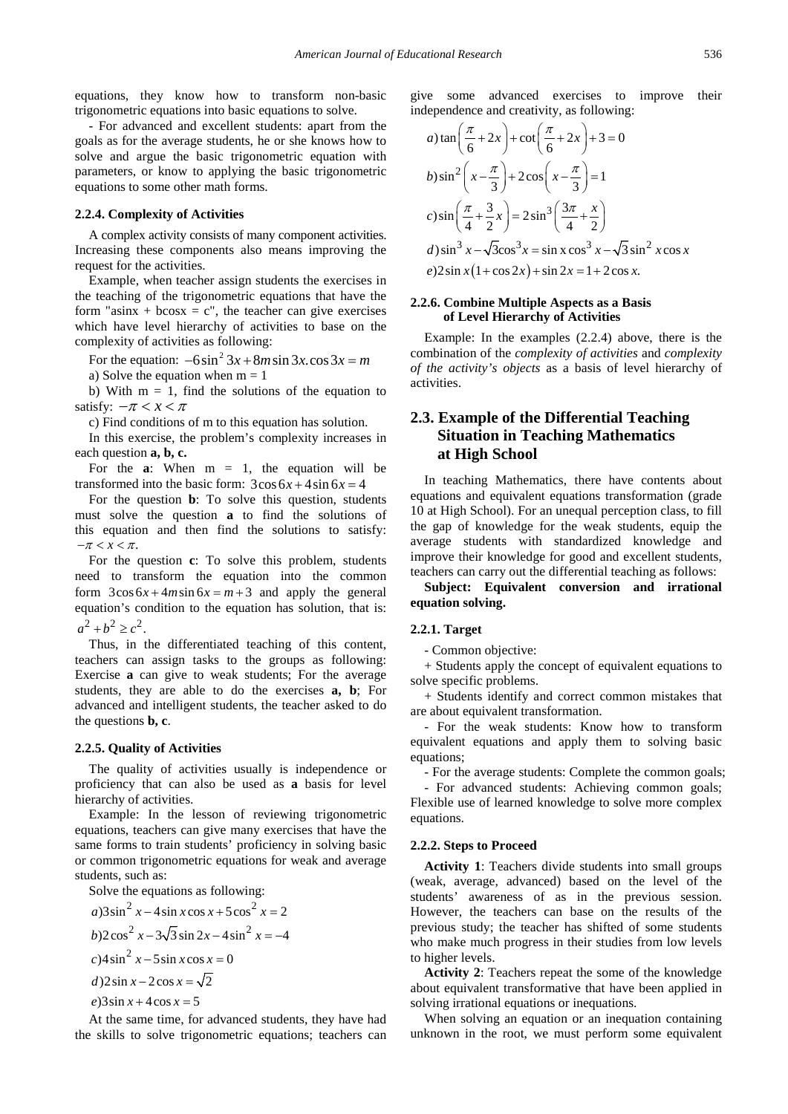equations, they know how to transform non-basic trigonometric equations into basic equations to solve.

- For advanced and excellent students: apart from the goals as for the average students, he or she knows how to solve and argue the basic trigonometric equation with parameters, or know to applying the basic trigonometric equations to some other math forms.

#### **2.2.4. Complexity of Activities**

A complex activity consists of many component activities. Increasing these components also means improving the request for the activities.

Example, when teacher assign students the exercises in the teaching of the trigonometric equations that have the form "asinx + bcosx = c", the teacher can give exercises which have level hierarchy of activities to base on the complexity of activities as following:

For the equation:  $-6\sin^2 3x + 8m \sin 3x \cdot \cos 3x = m$ 

a) Solve the equation when  $m = 1$ 

b) With  $m = 1$ , find the solutions of the equation to satisfy:  $-\pi < x < \pi$ 

c) Find conditions of m to this equation has solution.

In this exercise, the problem's complexity increases in each question **a, b, c.**

For the  $a$ : When  $m = 1$ , the equation will be transformed into the basic form:  $3\cos 6x + 4\sin 6x = 4$ 

For the question **b**: To solve this question, students must solve the question **a** to find the solutions of this equation and then find the solutions to satisfy:  $-\pi < x < \pi$ .

For the question **c**: To solve this problem, students need to transform the equation into the common form  $3\cos 6x + 4m\sin 6x = m + 3$  and apply the general equation's condition to the equation has solution, that is:  $a^2 + b^2 \ge c^2$ .

Thus, in the differentiated teaching of this content, teachers can assign tasks to the groups as following: Exercise **a** can give to weak students; For the average students, they are able to do the exercises **a, b**; For advanced and intelligent students, the teacher asked to do the questions **b, c**.

#### **2.2.5. Quality of Activities**

The quality of activities usually is independence or proficiency that can also be used as **a** basis for level hierarchy of activities.

Example: In the lesson of reviewing trigonometric equations, teachers can give many exercises that have the same forms to train students' proficiency in solving basic or common trigonometric equations for weak and average students, such as:

Solve the equations as following:

a)3 sin<sup>2</sup> x - 4 sin x cos x + 5 cos<sup>2</sup> x = 2  
\nb)2 cos<sup>2</sup> x - 3
$$
\sqrt{3}
$$
 sin 2x - 4 sin<sup>2</sup> x = -4  
\nc)4 sin<sup>2</sup> x - 5 sin x cos x = 0  
\nd)2 sin x - 2 cos x =  $\sqrt{2}$   
\ne)3 sin x + 4 cos x = 5

At the same time, for advanced students, they have had the skills to solve trigonometric equations; teachers can

give some advanced exercises to improve their independence and creativity, as following:

a) 
$$
\tan\left(\frac{\pi}{6} + 2x\right) + \cot\left(\frac{\pi}{6} + 2x\right) + 3 = 0
$$
  
\nb)  $\sin^2\left(x - \frac{\pi}{3}\right) + 2\cos\left(x - \frac{\pi}{3}\right) = 1$   
\nc)  $\sin\left(\frac{\pi}{4} + \frac{3}{2}x\right) = 2\sin^3\left(\frac{3\pi}{4} + \frac{x}{2}\right)$   
\nd)  $\sin^3 x - \sqrt{3}\cos^3 x = \sin x \cos^3 x - \sqrt{3} \sin^2 x \cos x$   
\ne)  $2\sin x (1 + \cos 2x) + \sin 2x = 1 + 2\cos x$ .

#### **2.2.6. Combine Multiple Aspects as a Basis of Level Hierarchy of Activities**

Example: In the examples (2.2.4) above, there is the combination of the *complexity of activities* and *complexity of the activity's objects* as a basis of level hierarchy of activities.

# **2.3. Example of the Differential Teaching Situation in Teaching Mathematics at High School**

In teaching Mathematics, there have contents about equations and equivalent equations transformation (grade 10 at High School). For an unequal perception class, to fill the gap of knowledge for the weak students, equip the average students with standardized knowledge and improve their knowledge for good and excellent students, teachers can carry out the differential teaching as follows:

**Subject: Equivalent conversion and irrational equation solving.**

#### **2.2.1. Target**

- Common objective:

+ Students apply the concept of equivalent equations to solve specific problems.

+ Students identify and correct common mistakes that are about equivalent transformation.

- For the weak students: Know how to transform equivalent equations and apply them to solving basic equations;

- For the average students: Complete the common goals;

- For advanced students: Achieving common goals; Flexible use of learned knowledge to solve more complex equations.

#### **2.2.2. Steps to Proceed**

**Activity 1**: Teachers divide students into small groups (weak, average, advanced) based on the level of the students' awareness of as in the previous session. However, the teachers can base on the results of the previous study; the teacher has shifted of some students who make much progress in their studies from low levels to higher levels.

**Activity 2**: Teachers repeat the some of the knowledge about equivalent transformative that have been applied in solving irrational equations or inequations.

When solving an equation or an inequation containing unknown in the root, we must perform some equivalent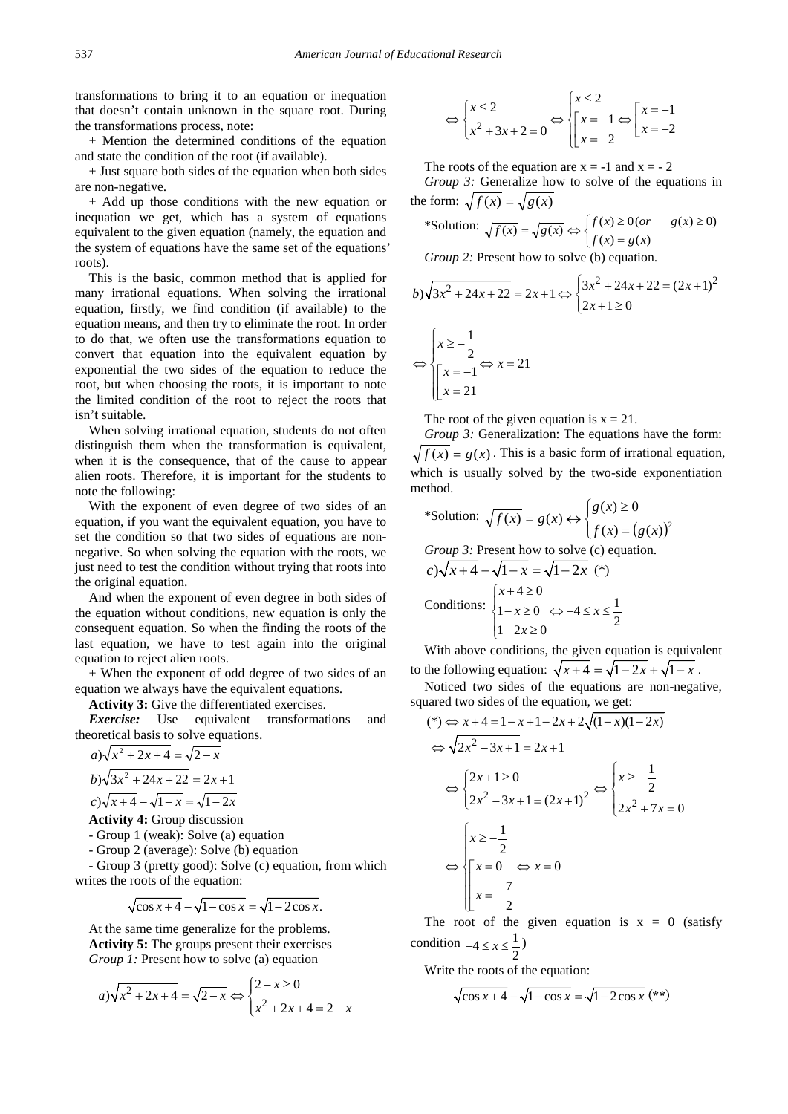transformations to bring it to an equation or inequation that doesn't contain unknown in the square root. During the transformations process, note:

+ Mention the determined conditions of the equation and state the condition of the root (if available).

+ Just square both sides of the equation when both sides are non-negative.

+ Add up those conditions with the new equation or inequation we get, which has a system of equations equivalent to the given equation (namely, the equation and the system of equations have the same set of the equations' roots).

This is the basic, common method that is applied for many irrational equations. When solving the irrational equation, firstly, we find condition (if available) to the equation means, and then try to eliminate the root. In order to do that, we often use the transformations equation to convert that equation into the equivalent equation by exponential the two sides of the equation to reduce the root, but when choosing the roots, it is important to note the limited condition of the root to reject the roots that isn't suitable.

When solving irrational equation, students do not often distinguish them when the transformation is equivalent, when it is the consequence, that of the cause to appear alien roots. Therefore, it is important for the students to note the following:

With the exponent of even degree of two sides of an equation, if you want the equivalent equation, you have to set the condition so that two sides of equations are nonnegative. So when solving the equation with the roots, we just need to test the condition without trying that roots into the original equation.

And when the exponent of even degree in both sides of the equation without conditions, new equation is only the consequent equation. So when the finding the roots of the last equation, we have to test again into the original equation to reject alien roots.

+ When the exponent of odd degree of two sides of an equation we always have the equivalent equations.

**Activity 3:** Give the differentiated exercises.

*Exercise:* Use equivalent transformations and theoretical basis to solve equations.

$$
a) \sqrt{x^2 + 2x + 4} = \sqrt{2 - x}
$$
  
\n
$$
b) \sqrt{3x^2 + 24x + 22} = 2x + 1
$$
  
\n
$$
c) \sqrt{x + 4} - \sqrt{1 - x} = \sqrt{1 - 2x}
$$

**Activity 4:** Group discussion

- Group 1 (weak): Solve (a) equation

- Group 2 (average): Solve (b) equation

- Group 3 (pretty good): Solve (c) equation, from which writes the roots of the equation:

$$
\sqrt{\cos x + 4} - \sqrt{1 - \cos x} = \sqrt{1 - 2\cos x}.
$$

At the same time generalize for the problems. **Activity 5:** The groups present their exercises *Group 1:* Present how to solve (a) equation

$$
a) \sqrt{x^2 + 2x + 4} = \sqrt{2 - x} \Leftrightarrow \begin{cases} 2 - x \ge 0 \\ x^2 + 2x + 4 = 2 - x \end{cases}
$$

$$
\Leftrightarrow \begin{cases} x \le 2 \\ x^2 + 3x + 2 = 0 \end{cases} \Leftrightarrow \begin{cases} x \le 2 \\ x = -1 \\ x = -2 \end{cases} \Leftrightarrow \begin{cases} x = -1 \\ x = -2 \end{cases}
$$

The roots of the equation are  $x = -1$  and  $x = -2$ *Group 3:* Generalize how to solve of the equations in the form:  $\sqrt{f(x)} = \sqrt{g(x)}$ 

$$
\text{*Solution: } \sqrt{f(x)} = \sqrt{g(x)} \Leftrightarrow \begin{cases} f(x) \ge 0 \text{ (or } g(x) \ge 0) \\ f(x) = g(x) \end{cases}
$$

*Group 2:* Present how to solve (b) equation.

$$
b)\sqrt{3x^2 + 24x + 22} = 2x + 1 \Leftrightarrow \begin{cases} 3x^2 + 24x + 22 = (2x + 1)^2 \\ 2x + 1 \ge 0 \end{cases}
$$

$$
\Leftrightarrow x = 21
$$

$$
\Leftrightarrow \begin{cases} 2 \\ x = -1 \\ x = 21 \end{cases}
$$

The root of the given equation is  $x = 21$ .

*Group 3:* Generalization: The equations have the form:  $f(x) = g(x)$ . This is a basic form of irrational equation, which is usually solved by the two-side exponentiation method.

$$
\text{*Solution: } \sqrt{f(x)} = g(x) \leftrightarrow \begin{cases} g(x) \ge 0\\ f(x) = (g(x))^2 \end{cases}
$$

*Group 3:* Present how to solve (c) equation.

$$
c) \sqrt{x+4} - \sqrt{1-x} = \sqrt{1-2x} \quad (*)
$$
  
Conditions: 
$$
\begin{cases} x+4 \ge 0 \\ 1-x \ge 0 \quad \Leftrightarrow -4 \le x \le \frac{1}{2} \\ 1-2x \ge 0 \end{cases}
$$

With above conditions, the given equation is equivalent to the following equation:  $\sqrt{x+4} = \sqrt{1-2x} + \sqrt{1-x}$ .

Noticed two sides of the equations are non-negative, squared two sides of the equation, we get:

$$
(*) \Leftrightarrow x+4=1-x+1-2x+2\sqrt{(1-x)(1-2x)}
$$
  
\n
$$
\Leftrightarrow \sqrt{2x^2-3x+1} = 2x+1
$$
  
\n
$$
\Leftrightarrow \begin{cases} 2x+1 \ge 0 \\ 2x^2-3x+1 = (2x+1)^2 \end{cases} \Leftrightarrow \begin{cases} x \ge -\frac{1}{2} \\ 2x^2+7x = 0 \end{cases}
$$
  
\n
$$
\Leftrightarrow \begin{cases} x \ge -\frac{1}{2} \\ x = -\frac{7}{2} \end{cases}
$$

The root of the given equation is  $x = 0$  (satisfy condition  $-4 \le x \le \frac{1}{2}$ 

Write the roots of the equation:

$$
\sqrt{\cos x + 4} - \sqrt{1 - \cos x} = \sqrt{1 - 2\cos x} \quad (*)
$$